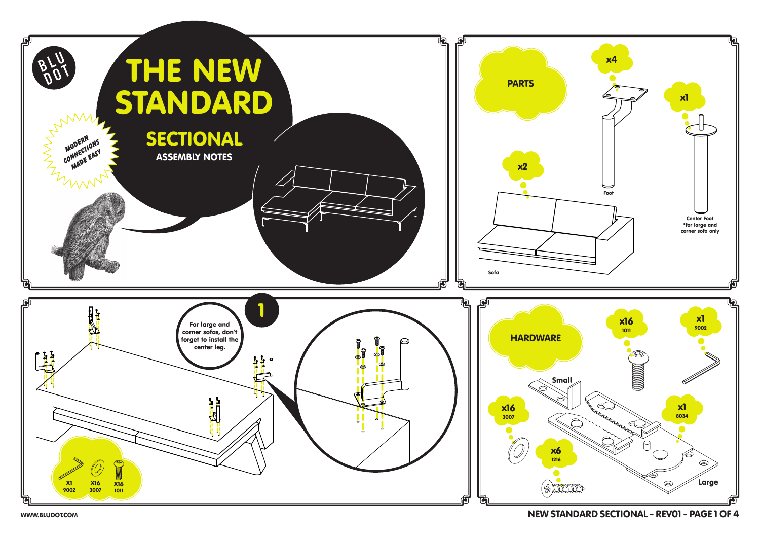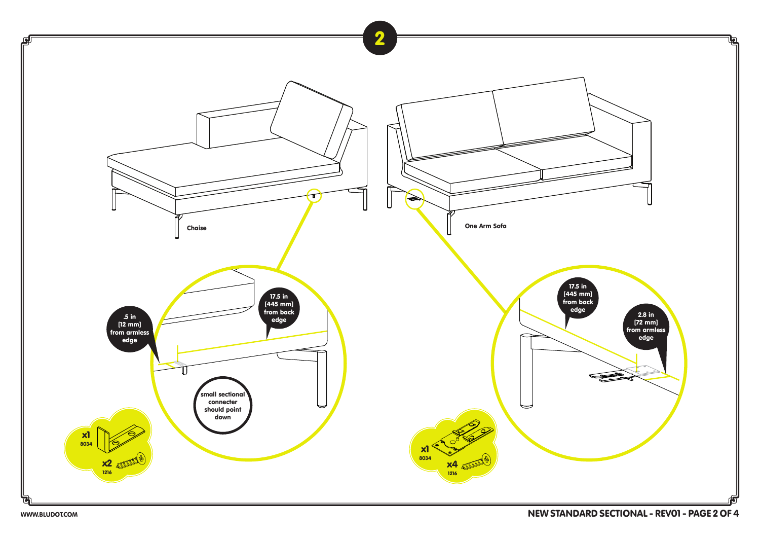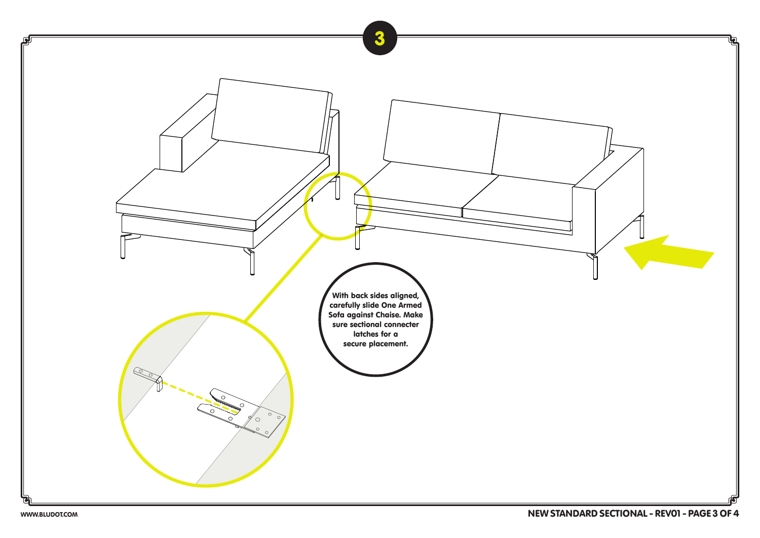![](_page_2_Picture_0.jpeg)